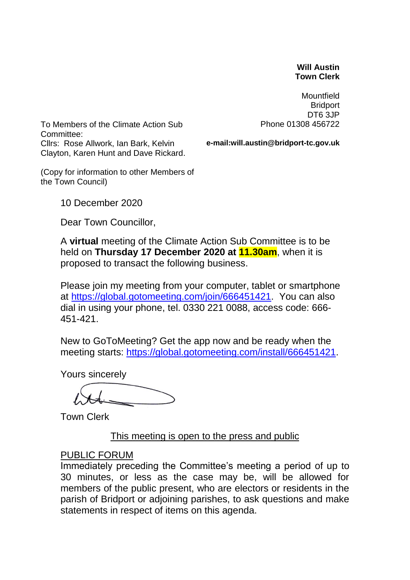#### **Will Austin Town Clerk**

**Mountfield Bridport** DT6 3JP Phone 01308 456722

To Members of the Climate Action Sub Committee: Cllrs: Rose Allwork, Ian Bark, Kelvin Clayton, Karen Hunt and Dave Rickard.

**e-mail:will.austin@bridport-tc.gov.uk**

(Copy for information to other Members of the Town Council)

10 December 2020

Dear Town Councillor,

A **virtual** meeting of the Climate Action Sub Committee is to be held on **Thursday 17 December 2020 at 11.30am**, when it is proposed to transact the following business.

Please join my meeting from your computer, tablet or smartphone at [https://global.gotomeeting.com/join/666451421.](https://global.gotomeeting.com/join/666451421) You can also dial in using your phone, tel. 0330 221 0088, access code: 666- 451-421.

New to GoToMeeting? Get the app now and be ready when the meeting starts: [https://global.gotomeeting.com/install/666451421.](https://global.gotomeeting.com/install/666451421)

Yours sincerely

Town Clerk

#### This meeting is open to the press and public

#### PUBLIC FORUM

Immediately preceding the Committee's meeting a period of up to 30 minutes, or less as the case may be, will be allowed for members of the public present, who are electors or residents in the parish of Bridport or adjoining parishes, to ask questions and make statements in respect of items on this agenda.